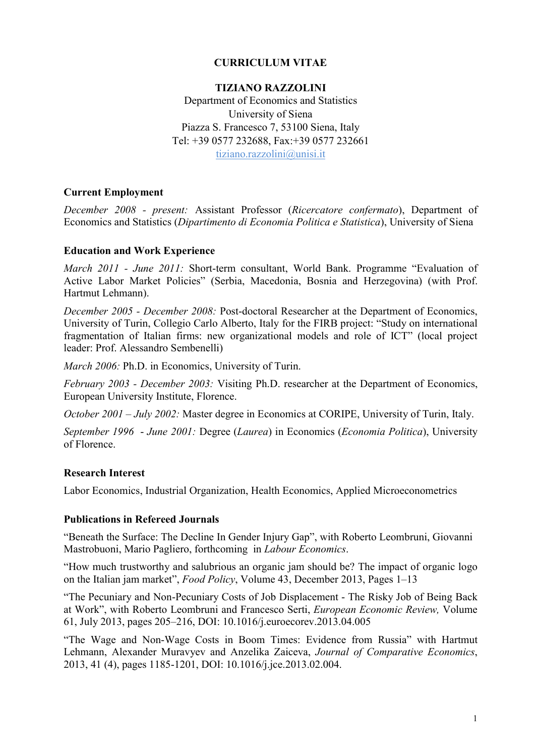## CURRICULUM VITAE

#### TIZIANO RAZZOLINI

Department of Economics and Statistics University of Siena Piazza S. Francesco 7, 53100 Siena, Italy Tel: +39 0577 232688, Fax:+39 0577 232661 tiziano.razzolini@unisi.it

### Current Employment

*December 2008 - present:* Assistant Professor (*Ricercatore confermato*), Department of Economics and Statistics (*Dipartimento di Economia Politica e Statistica*), University of Siena

#### Education and Work Experience

*March 2011 - June 2011:* Short-term consultant, World Bank. Programme "Evaluation of Active Labor Market Policies" (Serbia, Macedonia, Bosnia and Herzegovina) (with Prof. Hartmut Lehmann).

*December 2005 - December 2008:* Post-doctoral Researcher at the Department of Economics, University of Turin, Collegio Carlo Alberto, Italy for the FIRB project: "Study on international fragmentation of Italian firms: new organizational models and role of ICT" (local project leader: Prof. Alessandro Sembenelli)

*March 2006:* Ph.D. in Economics, University of Turin.

*February 2003 - December 2003:* Visiting Ph.D. researcher at the Department of Economics, European University Institute, Florence.

*October 2001 – July 2002:* Master degree in Economics at CORIPE, University of Turin, Italy.

*September 1996* - *June 2001:* Degree (*Laurea*) in Economics (*Economia Politica*), University of Florence.

#### Research Interest

Labor Economics, Industrial Organization, Health Economics, Applied Microeconometrics

#### Publications in Refereed Journals

"Beneath the Surface: The Decline In Gender Injury Gap", with Roberto Leombruni, Giovanni Mastrobuoni, Mario Pagliero, forthcoming in *Labour Economics*.

"How much trustworthy and salubrious an organic jam should be? The impact of organic logo on the Italian jam market", *Food Policy*, Volume 43, December 2013, Pages 1–13

"The Pecuniary and Non-Pecuniary Costs of Job Displacement - The Risky Job of Being Back at Work", with Roberto Leombruni and Francesco Serti, *European Economic Review,* Volume 61, July 2013, pages 205–216, DOI: 10.1016/j.euroecorev.2013.04.005

"The Wage and Non-Wage Costs in Boom Times: Evidence from Russia" with Hartmut Lehmann, Alexander Muravyev and Anzelika Zaiceva, *Journal of Comparative Economics*, 2013, 41 (4), pages 1185-1201, DOI: 10.1016/j.jce.2013.02.004.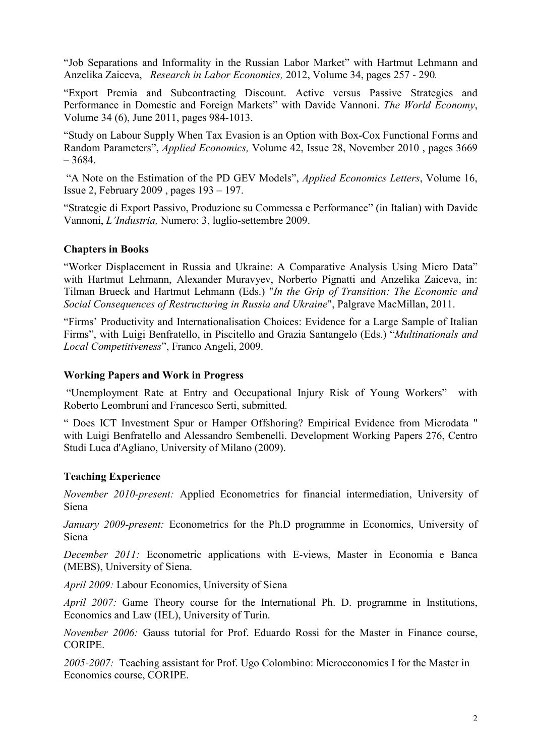"Job Separations and Informality in the Russian Labor Market" with Hartmut Lehmann and Anzelika Zaiceva, *Research in Labor Economics,* 2012, Volume 34, pages 257 - 290*.*

"Export Premia and Subcontracting Discount. Active versus Passive Strategies and Performance in Domestic and Foreign Markets" with Davide Vannoni. *The World Economy*, Volume 34 (6), June 2011, pages 984-1013.

"Study on Labour Supply When Tax Evasion is an Option with Box-Cox Functional Forms and Random Parameters", *Applied Economics,* Volume 42, Issue 28, November 2010 , pages 3669 – 3684.

"A Note on the Estimation of the PD GEV Models", *Applied Economics Letters*, Volume 16, Issue 2, February 2009 , pages 193 – 197.

"Strategie di Export Passivo, Produzione su Commessa e Performance" (in Italian) with Davide Vannoni, *L'Industria,* Numero: 3, luglio-settembre 2009.

## Chapters in Books

"Worker Displacement in Russia and Ukraine: A Comparative Analysis Using Micro Data" with Hartmut Lehmann, Alexander Muravyev, Norberto Pignatti and Anzelika Zaiceva, in: Tilman Brueck and Hartmut Lehmann (Eds.) "*In the Grip of Transition: The Economic and Social Consequences of Restructuring in Russia and Ukraine*", Palgrave MacMillan, 2011.

"Firms' Productivity and Internationalisation Choices: Evidence for a Large Sample of Italian Firms", with Luigi Benfratello, in Piscitello and Grazia Santangelo (Eds.) "*Multinationals and Local Competitiveness*", Franco Angeli, 2009.

#### Working Papers and Work in Progress

"Unemployment Rate at Entry and Occupational Injury Risk of Young Workers" with Roberto Leombruni and Francesco Serti, submitted.

" Does ICT Investment Spur or Hamper Offshoring? Empirical Evidence from Microdata " with Luigi Benfratello and Alessandro Sembenelli. Development Working Papers 276, Centro Studi Luca d'Agliano, University of Milano (2009).

## Teaching Experience

*November 2010-present:* Applied Econometrics for financial intermediation, University of Siena

*January 2009-present:* Econometrics for the Ph.D programme in Economics, University of Siena

*December 2011:* Econometric applications with E-views, Master in Economia e Banca (MEBS), University of Siena.

*April 2009:* Labour Economics, University of Siena

*April 2007:* Game Theory course for the International Ph. D. programme in Institutions, Economics and Law (IEL), University of Turin.

*November 2006:* Gauss tutorial for Prof. Eduardo Rossi for the Master in Finance course, **CORIPE** 

*2005-2007:* Teaching assistant for Prof. Ugo Colombino: Microeconomics I for the Master in Economics course, CORIPE.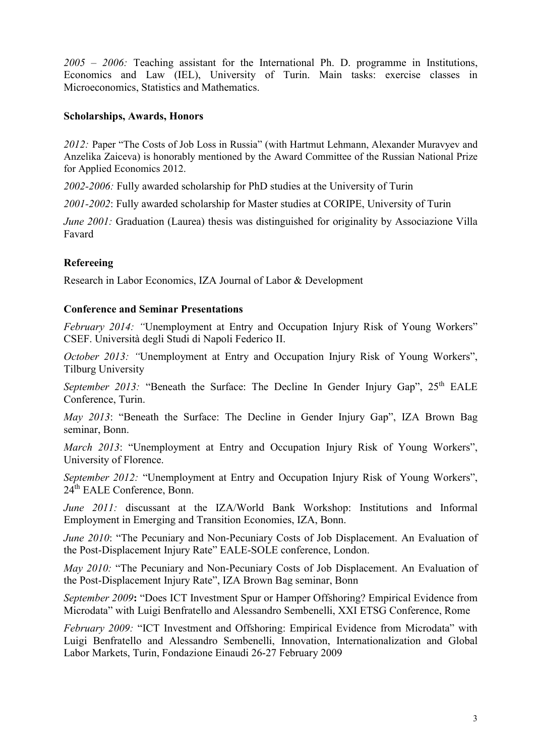*2005 – 2006:* Teaching assistant for the International Ph. D. programme in Institutions, Economics and Law (IEL), University of Turin. Main tasks: exercise classes in Microeconomics, Statistics and Mathematics.

### Scholarships, Awards, Honors

*2012:* Paper "The Costs of Job Loss in Russia" (with Hartmut Lehmann, Alexander Muravyev and Anzelika Zaiceva) is honorably mentioned by the Award Committee of the Russian National Prize for Applied Economics 2012.

*2002-2006:* Fully awarded scholarship for PhD studies at the University of Turin

*2001-2002*: Fully awarded scholarship for Master studies at CORIPE, University of Turin

*June 2001:* Graduation (Laurea) thesis was distinguished for originality by Associazione Villa Favard

## Refereeing

Research in Labor Economics, IZA Journal of Labor & Development

### Conference and Seminar Presentations

*February 2014:* "Unemployment at Entry and Occupation Injury Risk of Young Workers" CSEF. Università degli Studi di Napoli Federico II.

*October 2013:* "Unemployment at Entry and Occupation Injury Risk of Young Workers", Tilburg University

*September 2013:* "Beneath the Surface: The Decline In Gender Injury Gap", 25<sup>th</sup> EALE Conference, Turin.

*May 2013*: "Beneath the Surface: The Decline in Gender Injury Gap", IZA Brown Bag seminar, Bonn.

*March 2013*: "Unemployment at Entry and Occupation Injury Risk of Young Workers", University of Florence.

*September 2012:* "Unemployment at Entry and Occupation Injury Risk of Young Workers", 24th EALE Conference, Bonn.

*June 2011:* discussant at the IZA/World Bank Workshop: Institutions and Informal Employment in Emerging and Transition Economies, IZA, Bonn.

*June 2010*: "The Pecuniary and Non-Pecuniary Costs of Job Displacement. An Evaluation of the Post-Displacement Injury Rate" EALE-SOLE conference, London.

*May 2010:* "The Pecuniary and Non-Pecuniary Costs of Job Displacement. An Evaluation of the Post-Displacement Injury Rate", IZA Brown Bag seminar, Bonn

*September 2009*: "Does ICT Investment Spur or Hamper Offshoring? Empirical Evidence from Microdata" with Luigi Benfratello and Alessandro Sembenelli, XXI ETSG Conference, Rome

*February 2009:* "ICT Investment and Offshoring: Empirical Evidence from Microdata" with Luigi Benfratello and Alessandro Sembenelli, Innovation, Internationalization and Global Labor Markets, Turin, Fondazione Einaudi 26-27 February 2009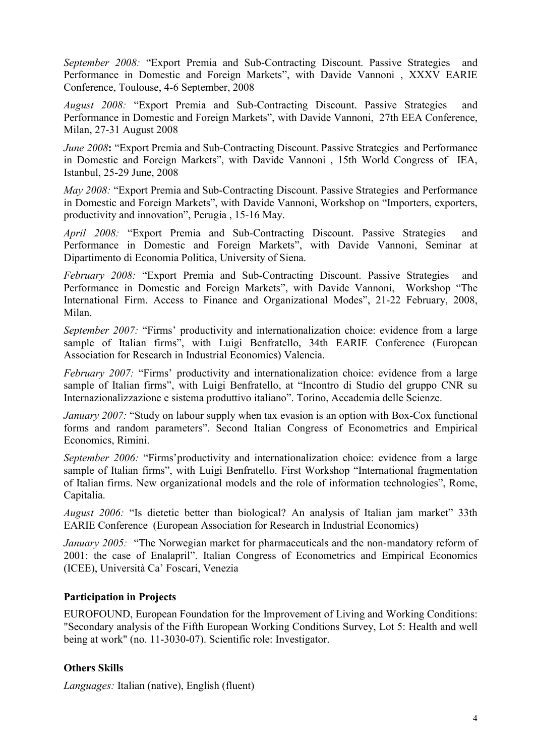*September 2008:* "Export Premia and Sub-Contracting Discount. Passive Strategies and Performance in Domestic and Foreign Markets", with Davide Vannoni , XXXV EARIE Conference, Toulouse, 4-6 September, 2008

*August 2008:* "Export Premia and Sub-Contracting Discount. Passive Strategies and Performance in Domestic and Foreign Markets", with Davide Vannoni, 27th EEA Conference, Milan, 27-31 August 2008

*June 2008*: "Export Premia and Sub-Contracting Discount. Passive Strategies and Performance in Domestic and Foreign Markets", with Davide Vannoni , 15th World Congress of IEA, Istanbul, 25-29 June, 2008

*May 2008:* "Export Premia and Sub-Contracting Discount. Passive Strategies and Performance in Domestic and Foreign Markets", with Davide Vannoni, Workshop on "Importers, exporters, productivity and innovation", Perugia , 15-16 May.

*April 2008:* "Export Premia and Sub-Contracting Discount. Passive Strategies and Performance in Domestic and Foreign Markets", with Davide Vannoni, Seminar at Dipartimento di Economia Politica, University of Siena.

*February 2008:* "Export Premia and Sub-Contracting Discount. Passive Strategies and Performance in Domestic and Foreign Markets", with Davide Vannoni, Workshop "The International Firm. Access to Finance and Organizational Modes", 21-22 February, 2008, Milan.

*September 2007:* "Firms' productivity and internationalization choice: evidence from a large sample of Italian firms", with Luigi Benfratello, 34th EARIE Conference (European Association for Research in Industrial Economics) Valencia.

*February 2007:* "Firms' productivity and internationalization choice: evidence from a large sample of Italian firms", with Luigi Benfratello, at "Incontro di Studio del gruppo CNR su Internazionalizzazione e sistema produttivo italiano". Torino, Accademia delle Scienze.

*January 2007:* "Study on labour supply when tax evasion is an option with Box-Cox functional forms and random parameters". Second Italian Congress of Econometrics and Empirical Economics, Rimini.

*September 2006:* "Firms'productivity and internationalization choice: evidence from a large sample of Italian firms", with Luigi Benfratello. First Workshop "International fragmentation of Italian firms. New organizational models and the role of information technologies", Rome, Capitalia.

*August 2006:* "Is dietetic better than biological? An analysis of Italian jam market" 33th EARIE Conference (European Association for Research in Industrial Economics)

*January 2005:* "The Norwegian market for pharmaceuticals and the non-mandatory reform of 2001: the case of Enalapril". Italian Congress of Econometrics and Empirical Economics (ICEE), Università Ca' Foscari, Venezia

## Participation in Projects

EUROFOUND, European Foundation for the Improvement of Living and Working Conditions: "Secondary analysis of the Fifth European Working Conditions Survey, Lot 5: Health and well being at work" (no. 11-3030-07). Scientific role: Investigator.

## Others Skills

*Languages:* Italian (native), English (fluent)